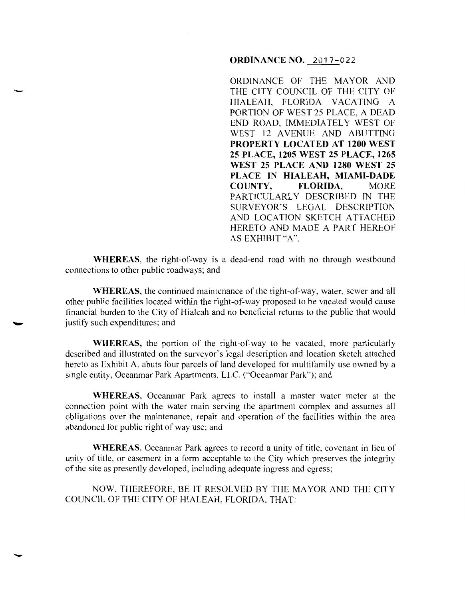## **ORDINANCE NO.** 2017-022

ORDINANCE OF THE MAYOR AND THE CITY COUNCIL OF THE CITY OF HIALEAH, FLORIDA VACATING A PORTION OF WEST 25 PLACE, A DEAD END ROAD, IMMEDIATELY WEST OF WEST 12 AVENUE AND ABUTTING **PROPERTY LOCATED AT 1200 WEST 25 PLACE, 1205 WEST 25 PLACE, 1265 WEST 25 PLACE AND 1280 WEST 25 PLACE IN HIALEAH, MIAMI-DADE COUNTY, FLORIDA,** MORE PARTICULARLY DESCRIBED IN THE SURVEYOR'S LEGAL DESCRIPTION AND LOCATION SKETCH ATTACHED HERETO AND MADE A PART HEREOF AS EXHIBIT "A".

**WHEREAS,** the right-of-way is a dead-end road with no through westbound connections to other public roadways; and

-

-

**WHEREAS**, the continued maintenance of the right-of-way, water, sewer and all other public facilities located within the right-of-way proposed to be vacated would cause financial burden to the City of Hialeah and no beneficial returns to the public that would justify such expenditures; and

**WHEREAS,** the portion of the right-of-way to be vacated, more particularly described and illustrated on the surveyor's legal description and location sketch attached hereto as Exhibit A, abuts four parcels of land developed for multifamily use owned by a single entity, Oceanmar Park Apartments, LLC. ("Oceanmar Park"); and

**WHEREAS,** Oceanmar Park agrees to install a master water meter at the connection point with the water main serving the apartment complex and assumes all obligations over the maintenance, repair and operation of the facilities within the area abandoned for public right of way use; and

**WHEREAS,** Oceanmar Park agrees to record a unity of title, covenant in lieu of unity of title, or easement in a form acceptable to the City which preserves the integrity of the site as presently developed, including adequate ingress and egress;

NOW, THEREFORE, BE IT RESOLVED BY THE MAYOR AND THE CITY COUNCIL OF THE CITY OF HIALEAH, FLORIDA, THAT: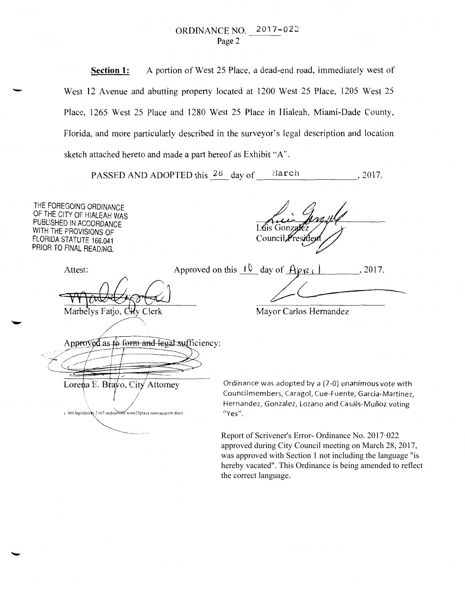## ORDINANCE NO. 2017-022 Page 2

**Section 1:** A portion of West 25 Place, a dead-end road, immediately west of West 12 Avenue and abutting property located at 1200 West 25 Place, 1205 West 25 Place, 1265 West 25 Place and 1280 West 25 Place in Hialeah, Miami-Dade County, Florida, and more particularly described in the surveyor's legal description and location sketch attached hereto and made a part hereof as Exhibit "A".

PASSED AND ADOPTED this  $28$  day of  $\frac{1}{2017}$ .

THE FOREGOING ORDINANCE OF THE CITY OF HIALEAH WAS PUBLISHED IN ACCORDANCE WITH THE PROVISIONS OF FLORIDA STATUTE 166.041 PRIOR TO FINAL READING.

-

Luis Gonz Counci

Marbelys Fatio, C

Attest: Approved on this  $1^{\circ}$  day of  $A\triangleright_{1}^{\circ}$   $A\triangleright_{2}^{\circ}$ . 2017.

Mayor Carlos Hernandez

Approved as to form and legal sufficiency:

~ Lorena E. Bravo, City Attorney

s leb legislation 2107 ordinances west25place rowvacation docx

 $\begin{array}{c} \begin{array}{c} \begin{array}{c} \end{array} \end{array}$ 

Ordinance was adopted by a (7-0) unanimous vote with Council members, Caragol, Cue-Fuente, Garcia-Martinez, Hernandez, Gonzalez, Lozano and Casáls-Muñoz voting "Yes".

Report of Scrivener's Error- Ordinance No. 2017·022 approved during City Council meeting on March 28, 2017, was approved with Section 1 not including the language "is hereby vacated". This Ordinance is being amended to reflect the correct language.